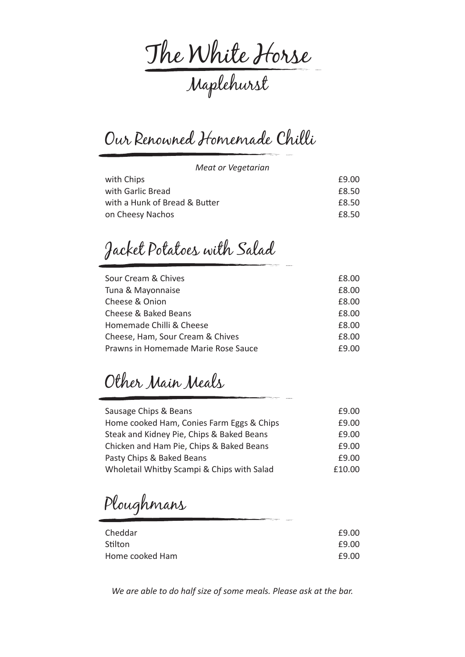The White Horse Maplehurst

Our Renowned Homemade Chilli

*Meat or Vegetarian*

| with Chips                    | £9.00 |
|-------------------------------|-------|
| with Garlic Bread             | £8.50 |
| with a Hunk of Bread & Butter | £8.50 |
| on Cheesy Nachos              | £8.50 |

Jacket Potatoes with Salad

| Sour Cream & Chives                 | £8.00 |
|-------------------------------------|-------|
| Tuna & Mayonnaise                   | £8.00 |
| Cheese & Onion                      | £8.00 |
| Cheese & Baked Beans                | £8.00 |
| Homemade Chilli & Cheese            | £8.00 |
| Cheese, Ham, Sour Cream & Chives    | £8.00 |
| Prawns in Homemade Marie Rose Sauce | £9.00 |

Other Main Meals

| Sausage Chips & Beans                      | £9.00  |
|--------------------------------------------|--------|
| Home cooked Ham, Conies Farm Eggs & Chips  | £9.00  |
| Steak and Kidney Pie, Chips & Baked Beans  | £9.00  |
| Chicken and Ham Pie, Chips & Baked Beans   | £9.00  |
| Pasty Chips & Baked Beans                  | £9.00  |
| Wholetail Whitby Scampi & Chips with Salad | £10.00 |

Ploughmans

| Cheddar         | £9.00 |
|-----------------|-------|
| Stilton         | £9.00 |
| Home cooked Ham | £9.00 |

*We are able to do half size of some meals. Please ask at the bar.*